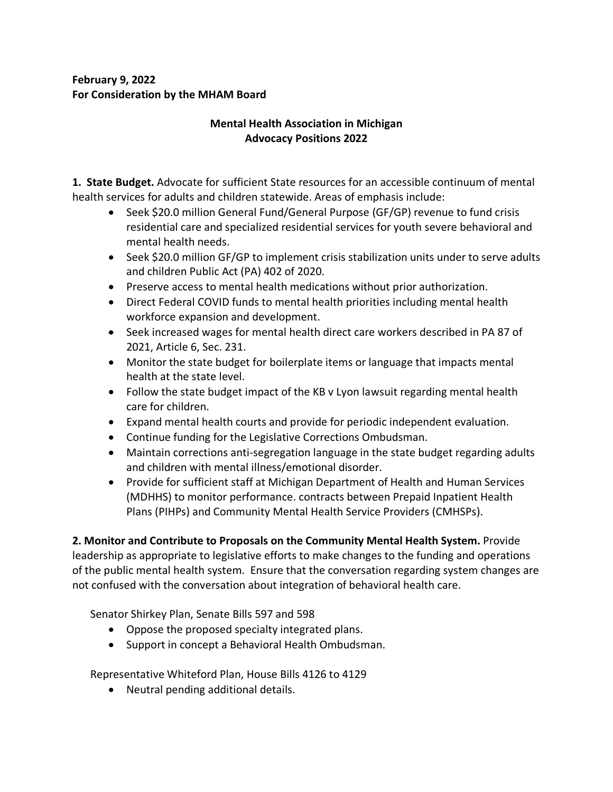# **February 9, 2022 For Consideration by the MHAM Board**

# **Mental Health Association in Michigan Advocacy Positions 2022**

**1. State Budget.** Advocate for sufficient State resources for an accessible continuum of mental health services for adults and children statewide. Areas of emphasis include:

- Seek \$20.0 million General Fund/General Purpose (GF/GP) revenue to fund crisis residential care and specialized residential services for youth severe behavioral and mental health needs.
- Seek \$20.0 million GF/GP to implement crisis stabilization units under to serve adults and children Public Act (PA) 402 of 2020.
- Preserve access to mental health medications without prior authorization.
- Direct Federal COVID funds to mental health priorities including mental health workforce expansion and development.
- Seek increased wages for mental health direct care workers described in PA 87 of 2021, Article 6, Sec. 231.
- Monitor the state budget for boilerplate items or language that impacts mental health at the state level.
- Follow the state budget impact of the KB v Lyon lawsuit regarding mental health care for children.
- Expand mental health courts and provide for periodic independent evaluation.
- Continue funding for the Legislative Corrections Ombudsman.
- Maintain corrections anti-segregation language in the state budget regarding adults and children with mental illness/emotional disorder.
- Provide for sufficient staff at Michigan Department of Health and Human Services (MDHHS) to monitor performance. contracts between Prepaid Inpatient Health Plans (PIHPs) and Community Mental Health Service Providers (CMHSPs).

**2. Monitor and Contribute to Proposals on the Community Mental Health System.** Provide leadership as appropriate to legislative efforts to make changes to the funding and operations of the public mental health system. Ensure that the conversation regarding system changes are not confused with the conversation about integration of behavioral health care.

Senator Shirkey Plan, Senate Bills 597 and 598

- Oppose the proposed specialty integrated plans.
- Support in concept a Behavioral Health Ombudsman.

Representative Whiteford Plan, House Bills 4126 to 4129

• Neutral pending additional details.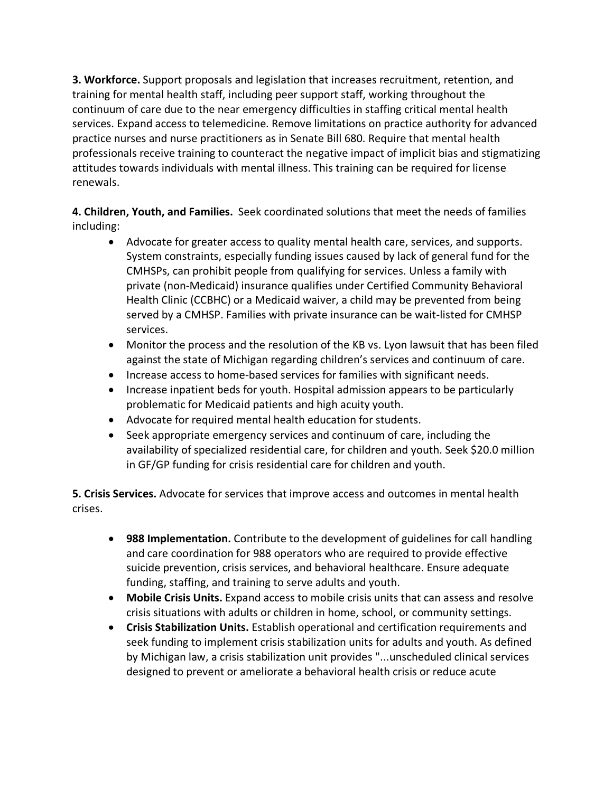**3. Workforce.** Support proposals and legislation that increases recruitment, retention, and training for mental health staff, including peer support staff, working throughout the continuum of care due to the near emergency difficulties in staffing critical mental health services. Expand access to telemedicine. Remove limitations on practice authority for advanced practice nurses and nurse practitioners as in Senate Bill 680. Require that mental health professionals receive training to counteract the negative impact of implicit bias and stigmatizing attitudes towards individuals with mental illness. This training can be required for license renewals.

**4. Children, Youth, and Families.** Seek coordinated solutions that meet the needs of families including:

- Advocate for greater access to quality mental health care, services, and supports. System constraints, especially funding issues caused by lack of general fund for the CMHSPs, can prohibit people from qualifying for services. Unless a family with private (non-Medicaid) insurance qualifies under Certified Community Behavioral Health Clinic (CCBHC) or a Medicaid waiver, a child may be prevented from being served by a CMHSP. Families with private insurance can be wait-listed for CMHSP services.
- Monitor the process and the resolution of the KB vs. Lyon lawsuit that has been filed against the state of Michigan regarding children's services and continuum of care.
- Increase access to home-based services for families with significant needs.
- Increase inpatient beds for youth. Hospital admission appears to be particularly problematic for Medicaid patients and high acuity youth.
- Advocate for required mental health education for students.
- Seek appropriate emergency services and continuum of care, including the availability of specialized residential care, for children and youth. Seek \$20.0 million in GF/GP funding for crisis residential care for children and youth.

**5. Crisis Services.** Advocate for services that improve access and outcomes in mental health crises.

- **988 Implementation.** Contribute to the development of guidelines for call handling and care coordination for 988 operators who are required to provide effective suicide prevention, crisis services, and behavioral healthcare. Ensure adequate funding, staffing, and training to serve adults and youth.
- **Mobile Crisis Units.** Expand access to mobile crisis units that can assess and resolve crisis situations with adults or children in home, school, or community settings.
- **Crisis Stabilization Units.** Establish operational and certification requirements and seek funding to implement crisis stabilization units for adults and youth. As defined by Michigan law, a crisis stabilization unit provides "...unscheduled clinical services designed to prevent or ameliorate a behavioral health crisis or reduce acute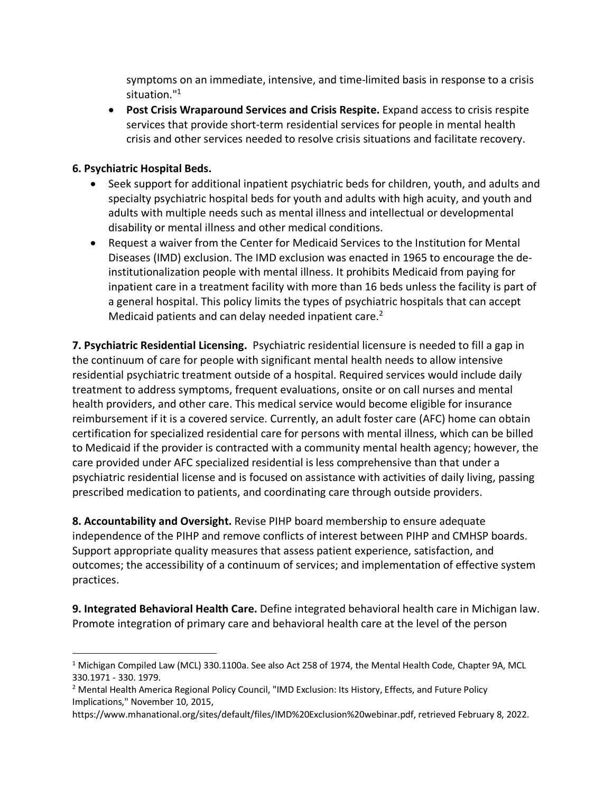symptoms on an immediate, intensive, and time-limited basis in response to a crisis situation."1

• **Post Crisis Wraparound Services and Crisis Respite.** Expand access to crisis respite services that provide short-term residential services for people in mental health crisis and other services needed to resolve crisis situations and facilitate recovery.

#### **6. Psychiatric Hospital Beds.**

- Seek support for additional inpatient psychiatric beds for children, youth, and adults and specialty psychiatric hospital beds for youth and adults with high acuity, and youth and adults with multiple needs such as mental illness and intellectual or developmental disability or mental illness and other medical conditions.
- Request a waiver from the Center for Medicaid Services to the Institution for Mental Diseases (IMD) exclusion. The IMD exclusion was enacted in 1965 to encourage the deinstitutionalization people with mental illness. It prohibits Medicaid from paying for inpatient care in a treatment facility with more than 16 beds unless the facility is part of a general hospital. This policy limits the types of psychiatric hospitals that can accept Medicaid patients and can delay needed inpatient care.<sup>2</sup>

**7. Psychiatric Residential Licensing.** Psychiatric residential licensure is needed to fill a gap in the continuum of care for people with significant mental health needs to allow intensive residential psychiatric treatment outside of a hospital. Required services would include daily treatment to address symptoms, frequent evaluations, onsite or on call nurses and mental health providers, and other care. This medical service would become eligible for insurance reimbursement if it is a covered service. Currently, an adult foster care (AFC) home can obtain certification for specialized residential care for persons with mental illness, which can be billed to Medicaid if the provider is contracted with a community mental health agency; however, the care provided under AFC specialized residential is less comprehensive than that under a psychiatric residential license and is focused on assistance with activities of daily living, passing prescribed medication to patients, and coordinating care through outside providers.

**8. Accountability and Oversight.** Revise PIHP board membership to ensure adequate independence of the PIHP and remove conflicts of interest between PIHP and CMHSP boards. Support appropriate quality measures that assess patient experience, satisfaction, and outcomes; the accessibility of a continuum of services; and implementation of effective system practices.

**9. Integrated Behavioral Health Care.** Define integrated behavioral health care in Michigan law. Promote integration of primary care and behavioral health care at the level of the person

<sup>&</sup>lt;sup>1</sup> Michigan Compiled Law (MCL) 330.1100a. See also Act 258 of 1974, the Mental Health Code, Chapter 9A, MCL 330.1971 - 330. 1979.

<sup>&</sup>lt;sup>2</sup> Mental Health America Regional Policy Council, "IMD Exclusion: Its History, Effects, and Future Policy Implications," November 10, 2015,

https://www.mhanational.org/sites/default/files/IMD%20Exclusion%20webinar.pdf, retrieved February 8, 2022.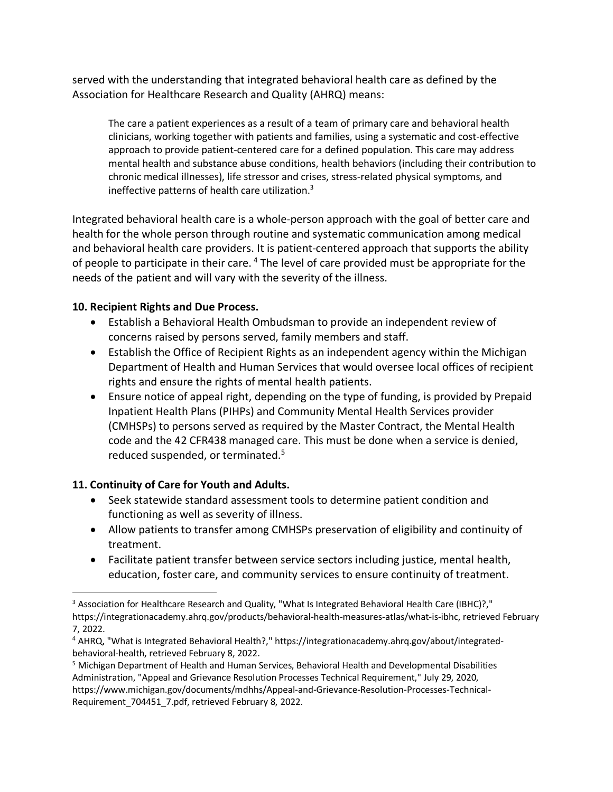served with the understanding that integrated behavioral health care as defined by the Association for Healthcare Research and Quality (AHRQ) means:

The care a patient experiences as a result of a team of primary care and behavioral health clinicians, working together with patients and families, using a systematic and cost-effective approach to provide patient-centered care for a defined population. This care may address mental health and substance abuse conditions, health behaviors (including their contribution to chronic medical illnesses), life stressor and crises, stress-related physical symptoms, and ineffective patterns of health care utilization. $3$ 

Integrated behavioral health care is a whole-person approach with the goal of better care and health for the whole person through routine and systematic communication among medical and behavioral health care providers. It is patient-centered approach that supports the ability of people to participate in their care. <sup>4</sup> The level of care provided must be appropriate for the needs of the patient and will vary with the severity of the illness.

### **10. Recipient Rights and Due Process.**

- Establish a Behavioral Health Ombudsman to provide an independent review of concerns raised by persons served, family members and staff.
- Establish the Office of Recipient Rights as an independent agency within the Michigan Department of Health and Human Services that would oversee local offices of recipient rights and ensure the rights of mental health patients.
- Ensure notice of appeal right, depending on the type of funding, is provided by Prepaid Inpatient Health Plans (PIHPs) and Community Mental Health Services provider (CMHSPs) to persons served as required by the Master Contract, the Mental Health code and the 42 CFR438 managed care. This must be done when a service is denied, reduced suspended, or terminated.<sup>5</sup>

# **11. Continuity of Care for Youth and Adults.**

- Seek statewide standard assessment tools to determine patient condition and functioning as well as severity of illness.
- Allow patients to transfer among CMHSPs preservation of eligibility and continuity of treatment.
- Facilitate patient transfer between service sectors including justice, mental health, education, foster care, and community services to ensure continuity of treatment.

<sup>&</sup>lt;sup>3</sup> Association for Healthcare Research and Quality, "What Is Integrated Behavioral Health Care (IBHC)?," https://integrationacademy.ahrq.gov/products/behavioral-health-measures-atlas/what-is-ibhc, retrieved February 7, 2022.

<sup>4</sup> AHRQ, "What is Integrated Behavioral Health?," https://integrationacademy.ahrq.gov/about/integratedbehavioral-health, retrieved February 8, 2022.

<sup>5</sup> Michigan Department of Health and Human Services, Behavioral Health and Developmental Disabilities Administration, "Appeal and Grievance Resolution Processes Technical Requirement," July 29, 2020, https://www.michigan.gov/documents/mdhhs/Appeal-and-Grievance-Resolution-Processes-Technical-Requirement\_704451\_7.pdf, retrieved February 8, 2022.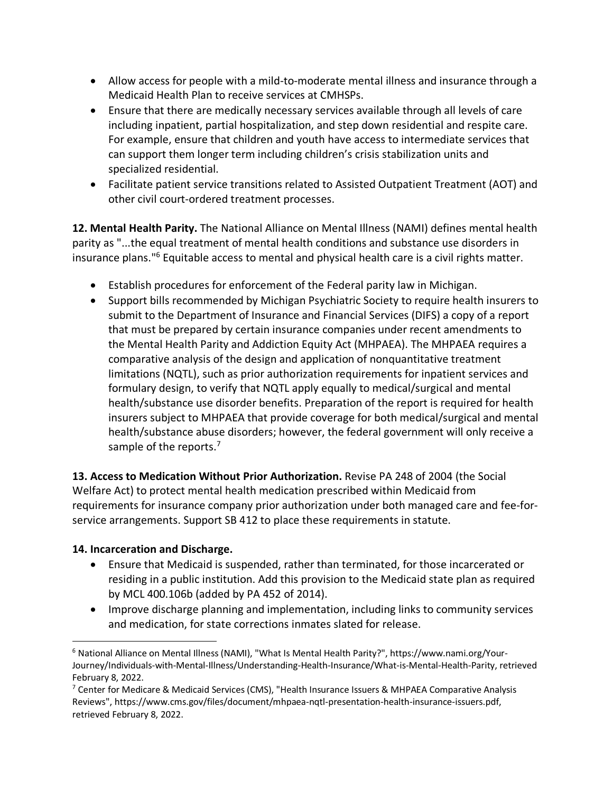- Allow access for people with a mild-to-moderate mental illness and insurance through a Medicaid Health Plan to receive services at CMHSPs.
- Ensure that there are medically necessary services available through all levels of care including inpatient, partial hospitalization, and step down residential and respite care. For example, ensure that children and youth have access to intermediate services that can support them longer term including children's crisis stabilization units and specialized residential.
- Facilitate patient service transitions related to Assisted Outpatient Treatment (AOT) and other civil court-ordered treatment processes.

**12. Mental Health Parity.** The National Alliance on Mental Illness (NAMI) defines mental health parity as "...the equal treatment of mental health conditions and substance use disorders in insurance plans."6 Equitable access to mental and physical health care is a civil rights matter.

- Establish procedures for enforcement of the Federal parity law in Michigan.
- Support bills recommended by Michigan Psychiatric Society to require health insurers to submit to the Department of Insurance and Financial Services (DIFS) a copy of a report that must be prepared by certain insurance companies under recent amendments to the Mental Health Parity and Addiction Equity Act (MHPAEA). The MHPAEA requires a comparative analysis of the design and application of nonquantitative treatment limitations (NQTL), such as prior authorization requirements for inpatient services and formulary design, to verify that NQTL apply equally to medical/surgical and mental health/substance use disorder benefits. Preparation of the report is required for health insurers subject to MHPAEA that provide coverage for both medical/surgical and mental health/substance abuse disorders; however, the federal government will only receive a sample of the reports.<sup>7</sup>

**13. Access to Medication Without Prior Authorization.** Revise PA 248 of 2004 (the Social Welfare Act) to protect mental health medication prescribed within Medicaid from requirements for insurance company prior authorization under both managed care and fee-forservice arrangements. Support SB 412 to place these requirements in statute.

### **14. Incarceration and Discharge.**

- Ensure that Medicaid is suspended, rather than terminated, for those incarcerated or residing in a public institution. Add this provision to the Medicaid state plan as required by MCL 400.106b (added by PA 452 of 2014).
- Improve discharge planning and implementation, including links to community services and medication, for state corrections inmates slated for release.

 <sup>6</sup> National Alliance on Mental Illness (NAMI), "What Is Mental Health Parity?", https://www.nami.org/Your-Journey/Individuals-with-Mental-Illness/Understanding-Health-Insurance/What-is-Mental-Health-Parity, retrieved February 8, 2022.

 $7$  Center for Medicare & Medicaid Services (CMS), "Health Insurance Issuers & MHPAEA Comparative Analysis Reviews", https://www.cms.gov/files/document/mhpaea-nqtl-presentation-health-insurance-issuers.pdf, retrieved February 8, 2022.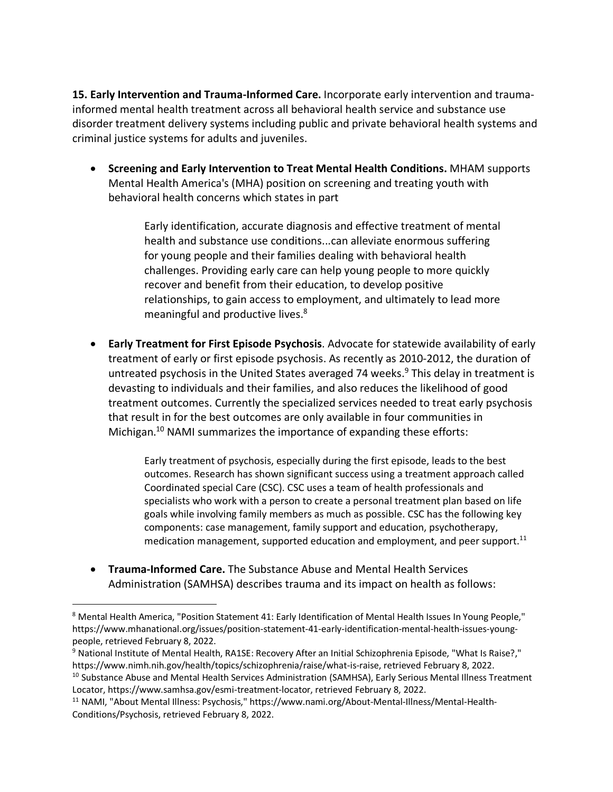**15. Early Intervention and Trauma-Informed Care.** Incorporate early intervention and traumainformed mental health treatment across all behavioral health service and substance use disorder treatment delivery systems including public and private behavioral health systems and criminal justice systems for adults and juveniles.

• **Screening and Early Intervention to Treat Mental Health Conditions.** MHAM supports Mental Health America's (MHA) position on screening and treating youth with behavioral health concerns which states in part

> Early identification, accurate diagnosis and effective treatment of mental health and substance use conditions...can alleviate enormous suffering for young people and their families dealing with behavioral health challenges. Providing early care can help young people to more quickly recover and benefit from their education, to develop positive relationships, to gain access to employment, and ultimately to lead more meaningful and productive lives.<sup>8</sup>

• **Early Treatment for First Episode Psychosis**. Advocate for statewide availability of early treatment of early or first episode psychosis. As recently as 2010-2012, the duration of untreated psychosis in the United States averaged 74 weeks. $9$  This delay in treatment is devasting to individuals and their families, and also reduces the likelihood of good treatment outcomes. Currently the specialized services needed to treat early psychosis that result in for the best outcomes are only available in four communities in Michigan. <sup>10</sup> NAMI summarizes the importance of expanding these efforts:

> Early treatment of psychosis, especially during the first episode, leads to the best outcomes. Research has shown significant success using a treatment approach called Coordinated special Care (CSC). CSC uses a team of health professionals and specialists who work with a person to create a personal treatment plan based on life goals while involving family members as much as possible. CSC has the following key components: case management, family support and education, psychotherapy, medication management, supported education and employment, and peer support.<sup>11</sup>

• **Trauma-Informed Care.** The Substance Abuse and Mental Health Services Administration (SAMHSA) describes trauma and its impact on health as follows:

<sup>&</sup>lt;sup>8</sup> Mental Health America, "Position Statement 41: Early Identification of Mental Health Issues In Young People," https://www.mhanational.org/issues/position-statement-41-early-identification-mental-health-issues-youngpeople, retrieved February 8, 2022.

<sup>9</sup> National Institute of Mental Health, RA1SE: Recovery After an Initial Schizophrenia Episode, "What Is Raise?," https://www.nimh.nih.gov/health/topics/schizophrenia/raise/what-is-raise, retrieved February 8, 2022.

<sup>&</sup>lt;sup>10</sup> Substance Abuse and Mental Health Services Administration (SAMHSA), Early Serious Mental Illness Treatment Locator, https://www.samhsa.gov/esmi-treatment-locator, retrieved February 8, 2022.

<sup>11</sup> NAMI, "About Mental Illness: Psychosis," https://www.nami.org/About-Mental-Illness/Mental-Health-Conditions/Psychosis, retrieved February 8, 2022.